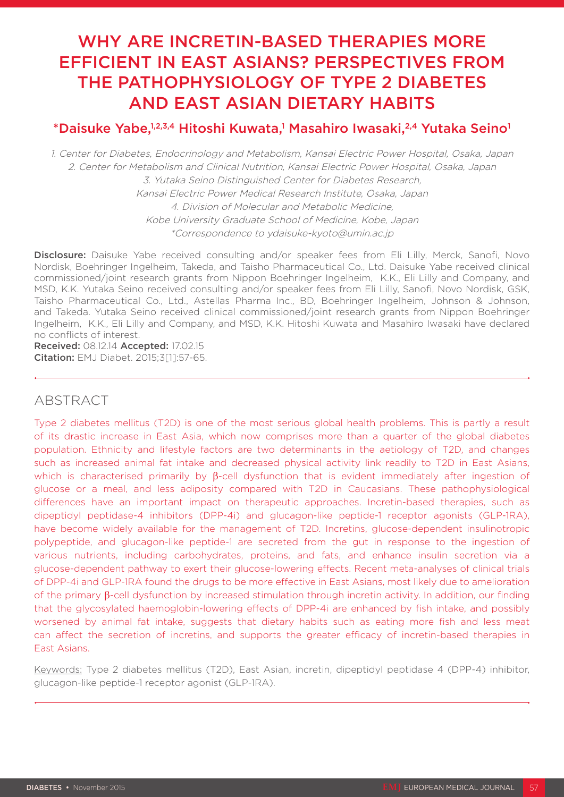# WHY ARE INCRETIN-BASED THERAPIES MORE EFFICIENT IN EAST ASIANS? PERSPECTIVES FROM THE PATHOPHYSIOLOGY OF TYPE 2 DIABETES AND EAST ASIAN DIETARY HABITS

# \*Daisuke Yabe,1,2,3,4 Hitoshi Kuwata,1 Masahiro Iwasaki,<sup>2,4</sup> Yutaka Seino<sup>1</sup>

1. Center for Diabetes, Endocrinology and Metabolism, Kansai Electric Power Hospital, Osaka, Japan 2. Center for Metabolism and Clinical Nutrition, Kansai Electric Power Hospital, Osaka, Japan 3. Yutaka Seino Distinguished Center for Diabetes Research, Kansai Electric Power Medical Research Institute, Osaka, Japan 4. Division of Molecular and Metabolic Medicine, Kobe University Graduate School of Medicine, Kobe, Japan \*Correspondence to ydaisuke-kyoto@umin.ac.jp

Disclosure: Daisuke Yabe received consulting and/or speaker fees from Fli Lilly, Merck, Sanofi, Novo Nordisk, Boehringer Ingelheim, Takeda, and Taisho Pharmaceutical Co., Ltd. Daisuke Yabe received clinical commissioned/joint research grants from Nippon Boehringer Ingelheim, K.K., Eli Lilly and Company, and MSD, K.K. Yutaka Seino received consulting and/or speaker fees from Eli Lilly, Sanofi, Novo Nordisk, GSK, Taisho Pharmaceutical Co., Ltd., Astellas Pharma Inc., BD, Boehringer Ingelheim, Johnson & Johnson, and Takeda. Yutaka Seino received clinical commissioned/joint research grants from Nippon Boehringer Ingelheim, K.K., Eli Lilly and Company, and MSD, K.K. Hitoshi Kuwata and Masahiro Iwasaki have declared no conflicts of interest.

Received: 08.12.14 Accepted: 17.02.15 Citation: EMJ Diabet. 2015;3[1]:57-65.

### ABSTRACT

Type 2 diabetes mellitus (T2D) is one of the most serious global health problems. This is partly a result of its drastic increase in East Asia, which now comprises more than a quarter of the global diabetes population. Ethnicity and lifestyle factors are two determinants in the aetiology of T2D, and changes such as increased animal fat intake and decreased physical activity link readily to T2D in East Asians, which is characterised primarily by β-cell dysfunction that is evident immediately after ingestion of glucose or a meal, and less adiposity compared with T2D in Caucasians. These pathophysiological differences have an important impact on therapeutic approaches. Incretin-based therapies, such as dipeptidyl peptidase-4 inhibitors (DPP-4i) and glucagon-like peptide-1 receptor agonists (GLP-1RA), have become widely available for the management of T2D. Incretins, glucose-dependent insulinotropic polypeptide, and glucagon-like peptide-1 are secreted from the gut in response to the ingestion of various nutrients, including carbohydrates, proteins, and fats, and enhance insulin secretion via a glucose-dependent pathway to exert their glucose-lowering effects. Recent meta-analyses of clinical trials of DPP-4i and GLP-1RA found the drugs to be more effective in East Asians, most likely due to amelioration of the primary β-cell dysfunction by increased stimulation through incretin activity. In addition, our finding that the glycosylated haemoglobin-lowering effects of DPP-4i are enhanced by fish intake, and possibly worsened by animal fat intake, suggests that dietary habits such as eating more fish and less meat can affect the secretion of incretins, and supports the greater efficacy of incretin-based therapies in East Asians.

Keywords: Type 2 diabetes mellitus (T2D), East Asian, incretin, dipeptidyl peptidase 4 (DPP-4) inhibitor, glucagon-like peptide-1 receptor agonist (GLP-1RA).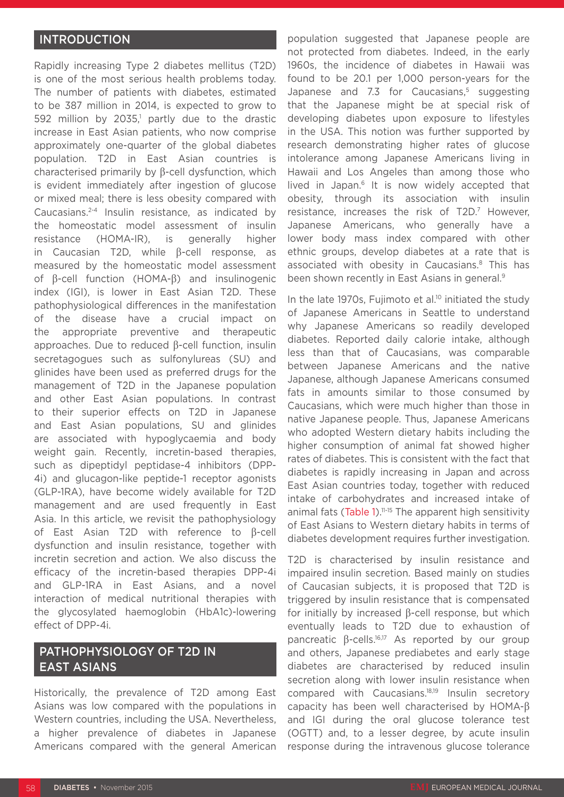### INTRODUCTION

Rapidly increasing Type 2 diabetes mellitus (T2D) is one of the most serious health problems today. The number of patients with diabetes, estimated to be 387 million in 2014, is expected to grow to  $592$  million by 2035,<sup>1</sup> partly due to the drastic increase in East Asian patients, who now comprise approximately one-quarter of the global diabetes population. T2D in East Asian countries is characterised primarily by β-cell dysfunction, which is evident immediately after ingestion of glucose or mixed meal; there is less obesity compared with Caucasians.2-4 Insulin resistance, as indicated by the homeostatic model assessment of insulin resistance (HOMA-IR), is generally higher in Caucasian T2D, while β-cell response, as measured by the homeostatic model assessment of β-cell function (HOMA-β) and insulinogenic index (IGI), is lower in East Asian T2D. These pathophysiological differences in the manifestation of the disease have a crucial impact on the appropriate preventive and therapeutic approaches. Due to reduced β-cell function, insulin secretagogues such as sulfonylureas (SU) and glinides have been used as preferred drugs for the management of T2D in the Japanese population and other East Asian populations. In contrast to their superior effects on T2D in Japanese and East Asian populations, SU and glinides are associated with hypoglycaemia and body weight gain. Recently, incretin-based therapies, such as dipeptidyl peptidase-4 inhibitors (DPP-4i) and glucagon-like peptide-1 receptor agonists (GLP-1RA), have become widely available for T2D management and are used frequently in East Asia. In this article, we revisit the pathophysiology of East Asian T2D with reference to β-cell dysfunction and insulin resistance, together with incretin secretion and action. We also discuss the efficacy of the incretin-based therapies DPP-4i and GLP-1RA in East Asians, and a novel interaction of medical nutritional therapies with the glycosylated haemoglobin (HbA1c)-lowering effect of DPP-4i.

# PATHOPHYSIOLOGY OF T2D IN EAST ASIANS

Historically, the prevalence of T2D among East Asians was low compared with the populations in Western countries, including the USA. Nevertheless, a higher prevalence of diabetes in Japanese Americans compared with the general American

population suggested that Japanese people are not protected from diabetes. Indeed, in the early 1960s, the incidence of diabetes in Hawaii was found to be 20.1 per 1,000 person-years for the Japanese and 7.3 for Caucasians,<sup>5</sup> suggesting that the Japanese might be at special risk of developing diabetes upon exposure to lifestyles in the USA. This notion was further supported by research demonstrating higher rates of glucose intolerance among Japanese Americans living in Hawaii and Los Angeles than among those who lived in Japan.<sup>6</sup> It is now widely accepted that obesity, through its association with insulin resistance, increases the risk of T2D.<sup>7</sup> However, Japanese Americans, who generally have a lower body mass index compared with other ethnic groups, develop diabetes at a rate that is associated with obesity in Caucasians.8 This has been shown recently in East Asians in general.<sup>9</sup>

In the late  $1970s$ , Fujimoto et al.<sup>10</sup> initiated the study of Japanese Americans in Seattle to understand why Japanese Americans so readily developed diabetes. Reported daily calorie intake, although less than that of Caucasians, was comparable between Japanese Americans and the native Japanese, although Japanese Americans consumed fats in amounts similar to those consumed by Caucasians, which were much higher than those in native Japanese people. Thus, Japanese Americans who adopted Western dietary habits including the higher consumption of animal fat showed higher rates of diabetes. This is consistent with the fact that diabetes is rapidly increasing in Japan and across East Asian countries today, together with reduced intake of carbohydrates and increased intake of animal fats (Table 1).<sup>11-15</sup> The apparent high sensitivity of East Asians to Western dietary habits in terms of diabetes development requires further investigation.

T2D is characterised by insulin resistance and impaired insulin secretion. Based mainly on studies of Caucasian subjects, it is proposed that T2D is triggered by insulin resistance that is compensated for initially by increased β-cell response, but which eventually leads to T2D due to exhaustion of pancreatic β-cells.<sup>16,17</sup> As reported by our group and others, Japanese prediabetes and early stage diabetes are characterised by reduced insulin secretion along with lower insulin resistance when compared with Caucasians.18,19 Insulin secretory capacity has been well characterised by HOMA-β and IGI during the oral glucose tolerance test (OGTT) and, to a lesser degree, by acute insulin response during the intravenous glucose tolerance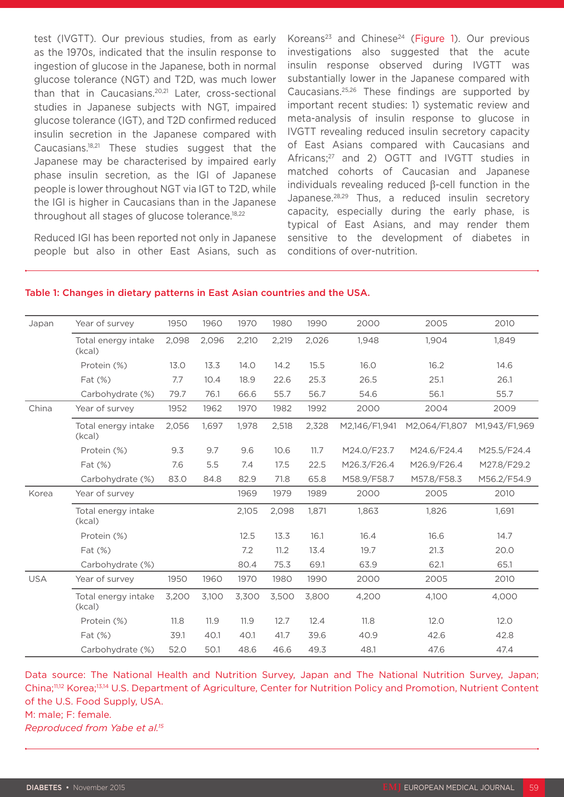test (IVGTT). Our previous studies, from as early as the 1970s, indicated that the insulin response to ingestion of glucose in the Japanese, both in normal glucose tolerance (NGT) and T2D, was much lower than that in Caucasians.<sup>20,21</sup> Later, cross-sectional studies in Japanese subjects with NGT, impaired glucose tolerance (IGT), and T2D confirmed reduced insulin secretion in the Japanese compared with Caucasians.18,21 These studies suggest that the Japanese may be characterised by impaired early phase insulin secretion, as the IGI of Japanese people is lower throughout NGT via IGT to T2D, while the IGI is higher in Caucasians than in the Japanese throughout all stages of glucose tolerance.<sup>18,22</sup>

Reduced IGI has been reported not only in Japanese people but also in other East Asians, such as

Koreans<sup>23</sup> and Chinese<sup>24</sup> (Figure 1). Our previous investigations also suggested that the acute insulin response observed during IVGTT was substantially lower in the Japanese compared with Caucasians.25,26 These findings are supported by important recent studies: 1) systematic review and meta-analysis of insulin response to glucose in IVGTT revealing reduced insulin secretory capacity of East Asians compared with Caucasians and Africans;<sup>27</sup> and 2) OGTT and IVGTT studies in matched cohorts of Caucasian and Japanese individuals revealing reduced β-cell function in the Japanese.28,29 Thus, a reduced insulin secretory capacity, especially during the early phase, is typical of East Asians, and may render them sensitive to the development of diabetes in conditions of over-nutrition.

#### Japan Year of survey 1950 1960 1970 1980 1990 2000 2005 2010 Total energy intake (kcal) 2,098 2,096 2,210 2,219 2,026 1,948 1,904 1,849 Protein (%) 13.0 13.3 14.0 14.2 15.5 16.0 16.2 14.6 Fat (%) 7.7 10.4 18.9 22.6 25.3 26.5 25.1 26.1 Carbohydrate (%) 79.7 76.1 66.6 55.7 56.7 54.6 56.1 56.7 China Year of survey 1952 1962 1970 1982 1992 2000 2004 2009 Total energy intake (kcal) 2,056 1,697 1,978 2,518 2,328 M2,146/F1,941 M2,064/F1,807 M1,943/F1,969 Protein (%) 9.3 9.7 9.6 10.6 11.7 M24.0/F23.7 M24.6/F24.4 M25.5/F24.4 Fat (%) 7.6 5.5 7.4 17.5 22.5 M26.3/F26.4 M26.9/F26.4 M27.8/F29.2 Carbohydrate (%) 83.0 84.8 82.9 71.8 65.8 M58.9/F58.7 M57.8/F58.3 M56.2/F54.9 Korea Year of survey 1969 1979 1989 2000 2005 2010 Total energy intake (kcal) 2,105 2,098 1,871 1,863 1,826 1,691 Protein (%) 12.5 13.3 16.1 16.4 16.6 14.7 Fat (%) 7.2 11.2 13.4 19.7 21.3 20.0 Carbohydrate (%) 80.4 75.3 69.1 63.9 62.1 63.9 USA Year of survey 1950 1960 1970 1980 1990 2000 2005 2010 Total energy intake (kcal) 3,200 3,100 3,300 3,500 3,800 4,200 4,100 4,000 Protein (%) 11.8 11.9 11.9 12.7 12.4 11.8 12.0 12.0 Fat (%) 39.1 40.1 40.1 41.7 39.6 40.9 42.6 42.8 Carbohydrate (%) 52.0 50.1 48.6 46.6 49.3 48.1 47.6 47.4

#### Table 1: Changes in dietary patterns in East Asian countries and the USA.

Data source: The National Health and Nutrition Survey, Japan and The National Nutrition Survey, Japan; China;11,12 Korea;13,14 U.S. Department of Agriculture, Center for Nutrition Policy and Promotion, Nutrient Content of the U.S. Food Supply, USA.

M: male; F: female.

*Reproduced from Yabe et al.15*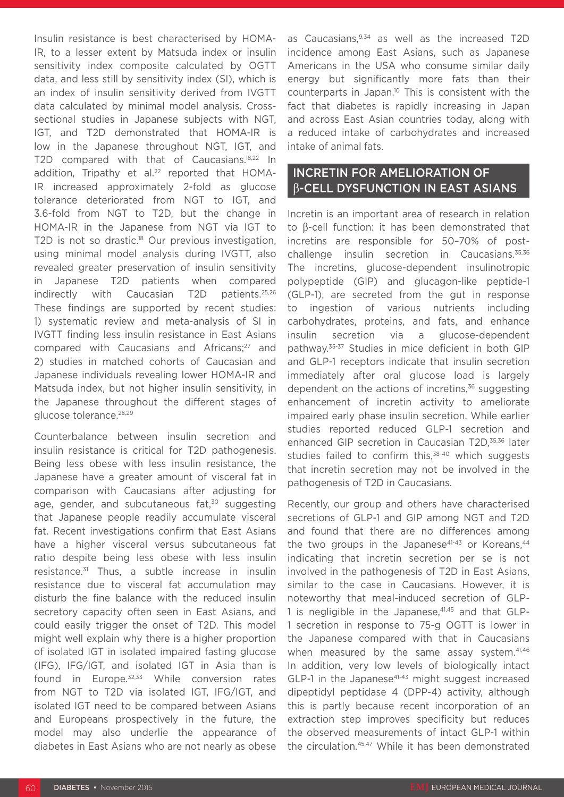Insulin resistance is best characterised by HOMA-IR, to a lesser extent by Matsuda index or insulin sensitivity index composite calculated by OGTT data, and less still by sensitivity index (SI), which is an index of insulin sensitivity derived from IVGTT data calculated by minimal model analysis. Crosssectional studies in Japanese subjects with NGT, IGT, and T2D demonstrated that HOMA-IR is low in the Japanese throughout NGT, IGT, and T2D compared with that of Caucasians.18,22 In addition, Tripathy et al.<sup>22</sup> reported that HOMA-IR increased approximately 2-fold as glucose tolerance deteriorated from NGT to IGT, and 3.6-fold from NGT to T2D, but the change in HOMA-IR in the Japanese from NGT via IGT to T2D is not so drastic.<sup>18</sup> Our previous investigation, using minimal model analysis during IVGTT, also revealed greater preservation of insulin sensitivity in Japanese T2D patients when compared indirectly with Caucasian T2D patients.25,26 These findings are supported by recent studies: 1) systematic review and meta-analysis of SI in IVGTT finding less insulin resistance in East Asians compared with Caucasians and Africans;<sup>27</sup> and 2) studies in matched cohorts of Caucasian and Japanese individuals revealing lower HOMA-IR and Matsuda index, but not higher insulin sensitivity, in the Japanese throughout the different stages of glucose tolerance.28,29

Counterbalance between insulin secretion and insulin resistance is critical for T2D pathogenesis. Being less obese with less insulin resistance, the Japanese have a greater amount of visceral fat in comparison with Caucasians after adjusting for age, gender, and subcutaneous fat,<sup>30</sup> suggesting that Japanese people readily accumulate visceral fat. Recent investigations confirm that East Asians have a higher visceral versus subcutaneous fat ratio despite being less obese with less insulin resistance.31 Thus, a subtle increase in insulin resistance due to visceral fat accumulation may disturb the fine balance with the reduced insulin secretory capacity often seen in East Asians, and could easily trigger the onset of T2D. This model might well explain why there is a higher proportion of isolated IGT in isolated impaired fasting glucose (IFG), IFG/IGT, and isolated IGT in Asia than is found in Europe.32,33 While conversion rates from NGT to T2D via isolated IGT, IFG/IGT, and isolated IGT need to be compared between Asians and Europeans prospectively in the future, the model may also underlie the appearance of diabetes in East Asians who are not nearly as obese

as Caucasians, 9,34 as well as the increased T2D incidence among East Asians, such as Japanese Americans in the USA who consume similar daily energy but significantly more fats than their counterparts in Japan.10 This is consistent with the fact that diabetes is rapidly increasing in Japan and across East Asian countries today, along with a reduced intake of carbohydrates and increased intake of animal fats.

### INCRETIN FOR AMELIORATION OF β-CELL DYSFUNCTION IN EAST ASIANS

Incretin is an important area of research in relation to β-cell function: it has been demonstrated that incretins are responsible for 50–70% of postchallenge insulin secretion in Caucasians.<sup>35,36</sup> The incretins, glucose-dependent insulinotropic polypeptide (GIP) and glucagon-like peptide-1 (GLP-1), are secreted from the gut in response to ingestion of various nutrients including carbohydrates, proteins, and fats, and enhance insulin secretion via a glucose-dependent pathway.35-37 Studies in mice deficient in both GIP and GLP-1 receptors indicate that insulin secretion immediately after oral glucose load is largely dependent on the actions of incretins, $36$  suggesting enhancement of incretin activity to ameliorate impaired early phase insulin secretion. While earlier studies reported reduced GLP-1 secretion and enhanced GIP secretion in Caucasian T2D,<sup>35,36</sup> later studies failed to confirm this, $38-40$  which suggests that incretin secretion may not be involved in the pathogenesis of T2D in Caucasians.

Recently, our group and others have characterised secretions of GLP-1 and GIP among NGT and T2D and found that there are no differences among the two groups in the Japanese<sup>41-43</sup> or Koreans.<sup>44</sup> indicating that incretin secretion per se is not involved in the pathogenesis of T2D in East Asians, similar to the case in Caucasians. However, it is noteworthy that meal-induced secretion of GLP-1 is negligible in the Japanese, $41,45$  and that GLP-1 secretion in response to 75-g OGTT is lower in the Japanese compared with that in Caucasians when measured by the same assay system.<sup>41,46</sup> In addition, very low levels of biologically intact GLP-1 in the Japanese<sup>41-43</sup> might suggest increased dipeptidyl peptidase 4 (DPP-4) activity, although this is partly because recent incorporation of an extraction step improves specificity but reduces the observed measurements of intact GLP-1 within the circulation.45,47 While it has been demonstrated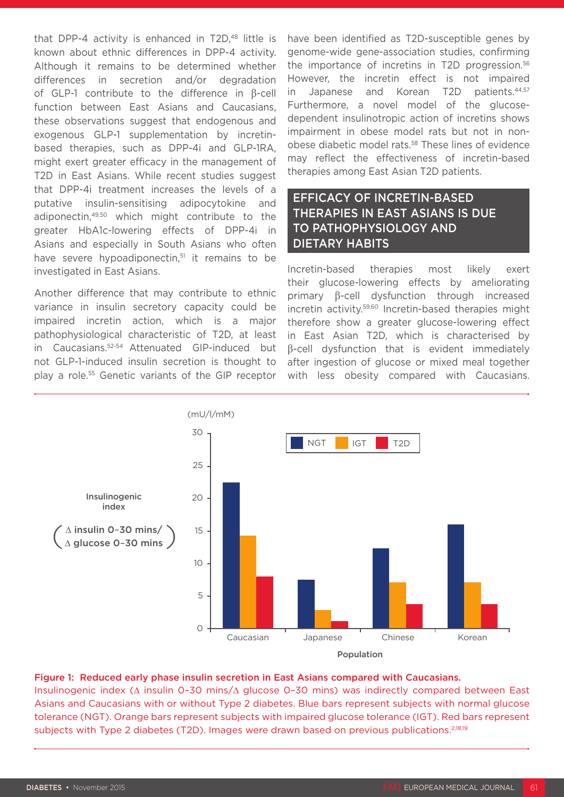that DPP-4 activity is enhanced in T2D,<sup>48</sup> little is known about ethnic differences in DPP-4 activity. Although it remains to be determined whether differences in secretion and/or degradation of GLP-1 contribute to the difference in β-cell function between East Asians and Caucasians, these observations suggest that endogenous and exogenous GLP-1 supplementation by incretinbased therapies, such as DPP-4i and GLP-1RA, might exert greater efficacy in the management of T2D in East Asians. While recent studies suggest that DPP-4i treatment increases the levels of a putative insulin-sensitising adipocytokine and adiponectin,49,50 which might contribute to the greater HbA1c-lowering effects of DPP-4i in Asians and especially in South Asians who often have severe hypoadiponectin,<sup>51</sup> it remains to be investigated in East Asians.

Another difference that may contribute to ethnic variance in insulin secretory capacity could be impaired incretin action, which is a major pathophysiological characteristic of T2D, at least in Caucasians.52-54 Attenuated GIP-induced but not GLP-1-induced insulin secretion is thought to play a role.55 Genetic variants of the GIP receptor have been identified as T2D-susceptible genes by genome-wide gene-association studies, confirming the importance of incretins in T2D progression.56 However, the incretin effect is not impaired in Japanese and Korean T2D patients.44,57 Furthermore, a novel model of the glucosedependent insulinotropic action of incretins shows impairment in obese model rats but not in nonobese diabetic model rats.58 These lines of evidence may reflect the effectiveness of incretin-based therapies among East Asian T2D patients.

### EFFICACY OF INCRETIN-BASED THERAPIES IN EAST ASIANS IS DUE TO PATHOPHYSIOLOGY AND DIETARY HABITS

Incretin-based therapies most likely exert their glucose-lowering effects by ameliorating primary β-cell dysfunction through increased incretin activity.59,60 Incretin-based therapies might therefore show a greater glucose-lowering effect in East Asian T2D, which is characterised by β-cell dysfunction that is evident immediately after ingestion of glucose or mixed meal together with less obesity compared with Caucasians.



#### Figure 1: Reduced early phase insulin secretion in East Asians compared with Caucasians.

Insulinogenic index (∆ insulin 0–30 mins/∆ glucose 0–30 mins) was indirectly compared between East Asians and Caucasians with or without Type 2 diabetes. Blue bars represent subjects with normal glucose tolerance (NGT). Orange bars represent subjects with impaired glucose tolerance (IGT). Red bars represent subjects with Type 2 diabetes (T2D). Images were drawn based on previous publications.<sup>2,18,19</sup>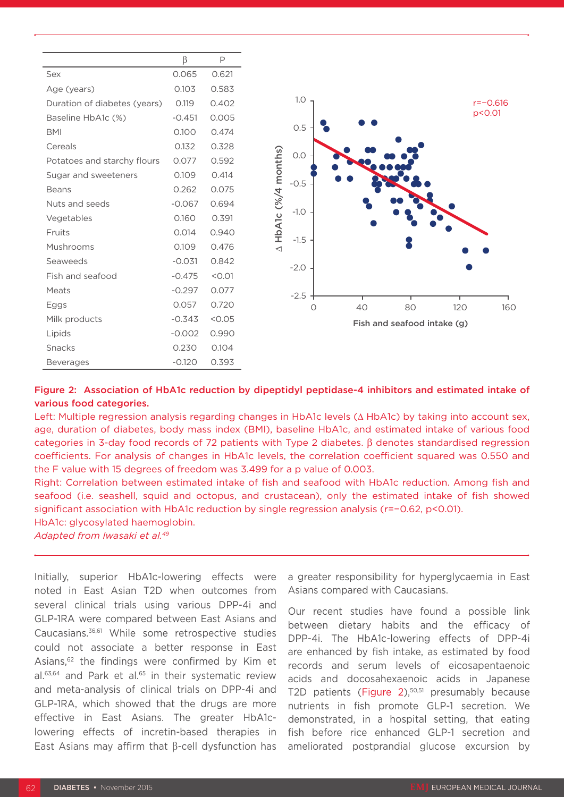|                              | β        | Р      |
|------------------------------|----------|--------|
| Sex                          | 0.065    | 0.621  |
| Age (years)                  | 0.103    | 0.583  |
| Duration of diabetes (years) | 0.119    | 0.402  |
| Baseline HbA1c (%)           | $-0.451$ | 0.005  |
| <b>BMI</b>                   | 0.100    | 0.474  |
| Cereals                      | 0.132    | 0.328  |
| Potatoes and starchy flours  | 0.077    | 0.592  |
| Sugar and sweeteners         | 0.109    | 0.414  |
| <b>Beans</b>                 | 0.262    | 0.075  |
| Nuts and seeds               | $-0.067$ | 0.694  |
| Vegetables                   | 0.160    | 0.391  |
| Fruits                       | 0.014    | 0.940  |
| Mushrooms                    | 0.109    | 0.476  |
| Seaweeds                     | $-0.031$ | 0.842  |
| Fish and seafood             | $-0.475$ | < 0.01 |
| Meats                        | $-0.297$ | 0.077  |
| Eggs                         | 0.057    | 0.720  |
| Milk products                | $-0.343$ | < 0.05 |
| Lipids                       | $-0.002$ | 0.990  |
| Snacks                       | 0.230    | 0.104  |
| <b>Beverages</b>             | $-0.120$ | 0.393  |



#### Figure 2: Association of HbA1c reduction by dipeptidyl peptidase-4 inhibitors and estimated intake of various food categories.

Left: Multiple regression analysis regarding changes in HbA1c levels (∆ HbA1c) by taking into account sex, age, duration of diabetes, body mass index (BMI), baseline HbA1c, and estimated intake of various food categories in 3-day food records of 72 patients with Type 2 diabetes. β denotes standardised regression coefficients. For analysis of changes in HbA1c levels, the correlation coefficient squared was 0.550 and the F value with 15 degrees of freedom was 3.499 for a p value of 0.003.

Right: Correlation between estimated intake of fish and seafood with HbA1c reduction. Among fish and seafood (i.e. seashell, squid and octopus, and crustacean), only the estimated intake of fish showed significant association with HbA1c reduction by single regression analysis (r=−0.62, p<0.01).

HbA1c: glycosylated haemoglobin.

*Adapted from Iwasaki et al.49*

Initially, superior HbA1c-lowering effects were noted in East Asian T2D when outcomes from several clinical trials using various DPP-4i and GLP-1RA were compared between East Asians and Caucasians.36,61 While some retrospective studies could not associate a better response in East Asians,<sup>62</sup> the findings were confirmed by Kim et al.<sup>63,64</sup> and Park et al.<sup>65</sup> in their systematic review and meta-analysis of clinical trials on DPP-4i and GLP-1RA, which showed that the drugs are more effective in East Asians. The greater HbA1clowering effects of incretin-based therapies in East Asians may affirm that β-cell dysfunction has

a greater responsibility for hyperglycaemia in East Asians compared with Caucasians.

Our recent studies have found a possible link between dietary habits and the efficacy of DPP-4i. The HbA1c-lowering effects of DPP-4i are enhanced by fish intake, as estimated by food records and serum levels of eicosapentaenoic acids and docosahexaenoic acids in Japanese T2D patients (Figure 2),<sup>50,51</sup> presumably because nutrients in fish promote GLP-1 secretion. We demonstrated, in a hospital setting, that eating fish before rice enhanced GLP-1 secretion and ameliorated postprandial glucose excursion by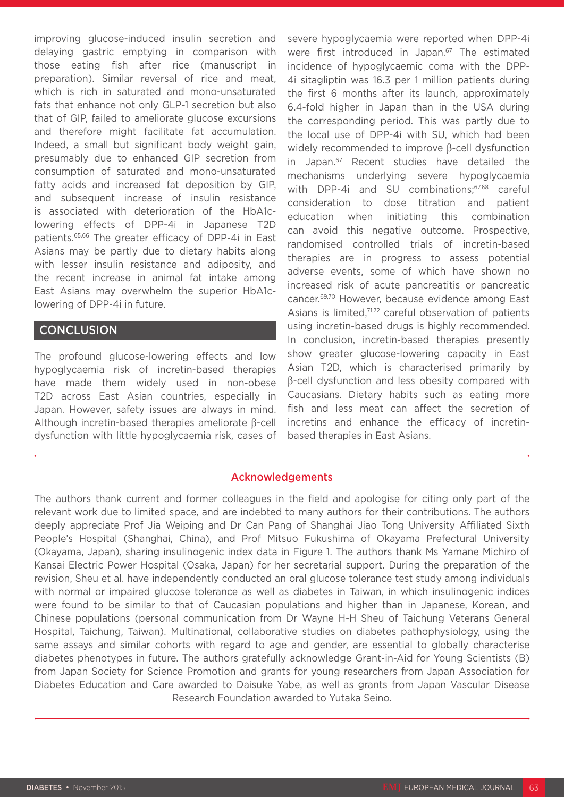improving glucose-induced insulin secretion and delaying gastric emptying in comparison with those eating fish after rice (manuscript in preparation). Similar reversal of rice and meat, which is rich in saturated and mono-unsaturated fats that enhance not only GLP-1 secretion but also that of GIP, failed to ameliorate glucose excursions and therefore might facilitate fat accumulation. Indeed, a small but significant body weight gain, presumably due to enhanced GIP secretion from consumption of saturated and mono-unsaturated fatty acids and increased fat deposition by GIP, and subsequent increase of insulin resistance is associated with deterioration of the HbA1clowering effects of DPP-4i in Japanese T2D patients.65,66 The greater efficacy of DPP-4i in East Asians may be partly due to dietary habits along with lesser insulin resistance and adiposity, and the recent increase in animal fat intake among East Asians may overwhelm the superior HbA1clowering of DPP-4i in future.

### **CONCLUSION**

The profound glucose-lowering effects and low hypoglycaemia risk of incretin-based therapies have made them widely used in non-obese T2D across East Asian countries, especially in Japan. However, safety issues are always in mind. Although incretin-based therapies ameliorate β-cell dysfunction with little hypoglycaemia risk, cases of severe hypoglycaemia were reported when DPP-4i were first introduced in Japan.<sup>67</sup> The estimated incidence of hypoglycaemic coma with the DPP-4i sitagliptin was 16.3 per 1 million patients during the first 6 months after its launch, approximately 6.4-fold higher in Japan than in the USA during the corresponding period. This was partly due to the local use of DPP-4i with SU, which had been widely recommended to improve β-cell dysfunction in Japan.67 Recent studies have detailed the mechanisms underlying severe hypoglycaemia with DPP-4i and SU combinations;<sup>67,68</sup> careful consideration to dose titration and patient education when initiating this combination can avoid this negative outcome. Prospective, randomised controlled trials of incretin-based therapies are in progress to assess potential adverse events, some of which have shown no increased risk of acute pancreatitis or pancreatic cancer.69,70 However, because evidence among East Asians is limited,<sup>71,72</sup> careful observation of patients using incretin-based drugs is highly recommended. In conclusion, incretin-based therapies presently show greater glucose-lowering capacity in East Asian T2D, which is characterised primarily by β-cell dysfunction and less obesity compared with Caucasians. Dietary habits such as eating more fish and less meat can affect the secretion of incretins and enhance the efficacy of incretinbased therapies in East Asians.

### Acknowledgements

The authors thank current and former colleagues in the field and apologise for citing only part of the relevant work due to limited space, and are indebted to many authors for their contributions. The authors deeply appreciate Prof Jia Weiping and Dr Can Pang of Shanghai Jiao Tong University Affiliated Sixth People's Hospital (Shanghai, China), and Prof Mitsuo Fukushima of Okayama Prefectural University (Okayama, Japan), sharing insulinogenic index data in Figure 1. The authors thank Ms Yamane Michiro of Kansai Electric Power Hospital (Osaka, Japan) for her secretarial support. During the preparation of the revision, Sheu et al. have independently conducted an oral glucose tolerance test study among individuals with normal or impaired glucose tolerance as well as diabetes in Taiwan, in which insulinogenic indices were found to be similar to that of Caucasian populations and higher than in Japanese, Korean, and Chinese populations (personal communication from Dr Wayne H-H Sheu of Taichung Veterans General Hospital, Taichung, Taiwan). Multinational, collaborative studies on diabetes pathophysiology, using the same assays and similar cohorts with regard to age and gender, are essential to globally characterise diabetes phenotypes in future. The authors gratefully acknowledge Grant-in-Aid for Young Scientists (B) from Japan Society for Science Promotion and grants for young researchers from Japan Association for Diabetes Education and Care awarded to Daisuke Yabe, as well as grants from Japan Vascular Disease Research Foundation awarded to Yutaka Seino.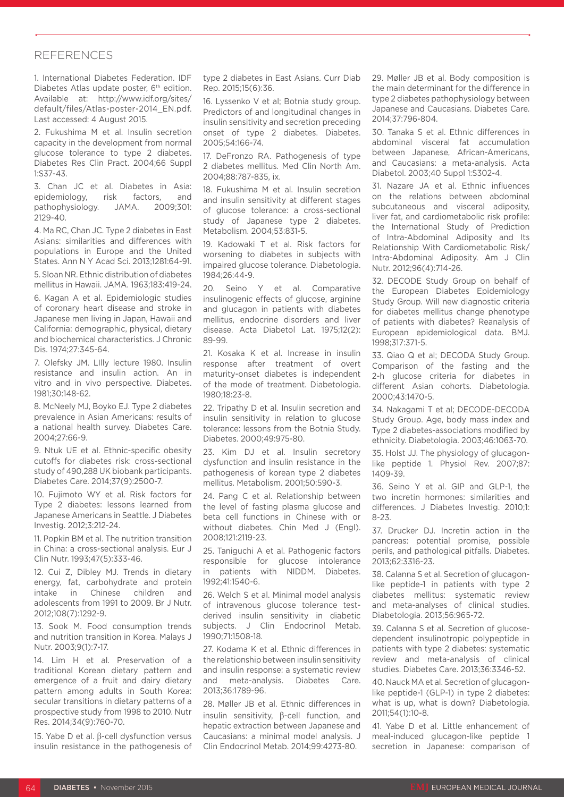#### REFERENCES

1. International Diabetes Federation. IDF Diabetes Atlas update poster, 6<sup>th</sup> edition. Available at: http://www.idf.org/sites/ default/files/Atlas-poster-2014\_EN.pdf. Last accessed: 4 August 2015.

2. Fukushima M et al. Insulin secretion capacity in the development from normal glucose tolerance to type 2 diabetes. Diabetes Res Clin Pract. 2004;66 Suppl 1:S37-43.

3. Chan JC et al. Diabetes in Asia: epidemiology, risk factors, and pathophysiology. JAMA. 2009;301: 2129-40.

4. Ma RC, Chan JC. Type 2 diabetes in East Asians: similarities and differences with populations in Europe and the United States. Ann N Y Acad Sci. 2013;1281:64-91.

5. Sloan NR. Ethnic distribution of diabetes mellitus in Hawaii. JAMA. 1963;183:419-24.

6. Kagan A et al. Epidemiologic studies of coronary heart disease and stroke in Japanese men living in Japan, Hawaii and California: demographic, physical, dietary and biochemical characteristics. J Chronic Dis. 1974;27:345-64.

7. Olefsky JM. LIlly lecture 1980. Insulin resistance and insulin action. An in vitro and in vivo perspective. Diabetes. 1981;30:148-62.

8. McNeely MJ, Boyko EJ. Type 2 diabetes prevalence in Asian Americans: results of a national health survey. Diabetes Care. 2004;27:66-9.

9. Ntuk UE et al. Ethnic-specific obesity cutoffs for diabetes risk: cross-sectional study of 490,288 UK biobank participants. Diabetes Care. 2014;37(9):2500-7.

10. Fujimoto WY et al. Risk factors for Type 2 diabetes: lessons learned from Japanese Americans in Seattle. J Diabetes Investig. 2012;3:212-24.

11. Popkin BM et al. The nutrition transition in China: a cross-sectional analysis. Eur J Clin Nutr. 1993;47(5):333-46.

12. Cui Z, Dibley MJ. Trends in dietary energy, fat, carbohydrate and protein intake in Chinese children and adolescents from 1991 to 2009. Br J Nutr. 2012;108(7):1292-9.

13. Sook M. Food consumption trends and nutrition transition in Korea. Malays J Nutr. 2003;9(1):7-17.

14. Lim H et al. Preservation of a traditional Korean dietary pattern and emergence of a fruit and dairy dietary pattern among adults in South Korea: secular transitions in dietary patterns of a prospective study from 1998 to 2010. Nutr Res. 2014;34(9):760-70.

15. Yabe D et al. β-cell dysfunction versus insulin resistance in the pathogenesis of type 2 diabetes in East Asians. Curr Diab Rep. 2015;15(6):36.

16. Lyssenko V et al; Botnia study group. Predictors of and longitudinal changes in insulin sensitivity and secretion preceding onset of type 2 diabetes. Diabetes. 2005;54:166-74.

17. DeFronzo RA. Pathogenesis of type 2 diabetes mellitus. Med Clin North Am. 2004;88:787-835, ix.

18. Fukushima M et al. Insulin secretion and insulin sensitivity at different stages of glucose tolerance: a cross-sectional study of Japanese type 2 diabetes. Metabolism. 2004;53:831-5.

19. Kadowaki T et al. Risk factors for worsening to diabetes in subjects with impaired glucose tolerance. Diabetologia. 1984;26:44-9.

20. Seino Y et al. Comparative insulinogenic effects of glucose, arginine and glucagon in patients with diabetes mellitus, endocrine disorders and liver disease. Acta Diabetol Lat. 1975;12(2): 89-99.

21. Kosaka K et al. Increase in insulin response after treatment of overt maturity-onset diabetes is independent of the mode of treatment. Diabetologia. 1980;18:23-8.

22. Tripathy D et al. Insulin secretion and insulin sensitivity in relation to glucose tolerance: lessons from the Botnia Study. Diabetes. 2000;49:975-80.

23. Kim DJ et al. Insulin secretory dysfunction and insulin resistance in the pathogenesis of korean type 2 diabetes mellitus. Metabolism. 2001;50:590-3.

24. Pang C et al. Relationship between the level of fasting plasma glucose and beta cell functions in Chinese with or without diabetes. Chin Med J (Engl). 2008;121:2119-23.

25. Taniguchi A et al. Pathogenic factors responsible for glucose intolerance in patients with NIDDM. Diabetes. 1992;41:1540-6.

26. Welch S et al. Minimal model analysis of intravenous glucose tolerance testderived insulin sensitivity in diabetic subjects. J Clin Endocrinol Metab. 1990;71:1508-18.

27. Kodama K et al. Ethnic differences in the relationship between insulin sensitivity and insulin response: a systematic review and meta-analysis. Diabetes Care. 2013;36:1789-96.

28. Møller JB et al. Ethnic differences in insulin sensitivity, β-cell function, and hepatic extraction between Japanese and Caucasians: a minimal model analysis. J Clin Endocrinol Metab. 2014;99:4273-80.

29. Møller JB et al. Body composition is the main determinant for the difference in type 2 diabetes pathophysiology between Japanese and Caucasians. Diabetes Care. 2014;37:796-804.

30. Tanaka S et al. Ethnic differences in abdominal visceral fat accumulation between Japanese, African-Americans, and Caucasians: a meta-analysis. Acta Diabetol. 2003;40 Suppl 1:S302-4.

31. Nazare JA et al. Ethnic influences on the relations between abdominal subcutaneous and visceral adiposity, liver fat, and cardiometabolic risk profile: the International Study of Prediction of Intra-Abdominal Adiposity and Its Relationship With Cardiometabolic Risk/ Intra-Abdominal Adiposity. Am J Clin Nutr. 2012;96(4):714-26.

32. DECODE Study Group on behalf of the European Diabetes Epidemiology Study Group. Will new diagnostic criteria for diabetes mellitus change phenotype of patients with diabetes? Reanalysis of European epidemiological data. BMJ. 1998;317:371-5.

33. Qiao Q et al; DECODA Study Group. Comparison of the fasting and the 2-h glucose criteria for diabetes in different Asian cohorts. Diabetologia. 2000;43:1470-5.

34. Nakagami T et al; DECODE-DECODA Study Group. Age, body mass index and Type 2 diabetes-associations modified by ethnicity. Diabetologia. 2003;46:1063-70.

35. Holst JJ. The physiology of glucagonlike peptide 1. Physiol Rev. 2007;87: 1409-39.

36. Seino Y et al. GIP and GLP-1, the two incretin hormones: similarities and differences. J Diabetes Investig. 2010;1: 8-23.

37. Drucker DJ. Incretin action in the pancreas: potential promise, possible perils, and pathological pitfalls. Diabetes. 2013;62:3316-23.

38. Calanna S et al. Secretion of glucagonlike peptide-1 in patients with type 2 diabetes mellitus: systematic review and meta-analyses of clinical studies. Diabetologia. 2013;56:965-72.

39. Calanna S et al. Secretion of glucosedependent insulinotropic polypeptide in patients with type 2 diabetes: systematic review and meta-analysis of clinical studies. Diabetes Care. 2013;36:3346-52.

40. Nauck MA et al. Secretion of glucagonlike peptide-1 (GLP-1) in type 2 diabetes: what is up, what is down? Diabetologia. 2011;54(1):10-8.

41. Yabe D et al. Little enhancement of meal-induced glucagon-like peptide 1 secretion in Japanese: comparison of